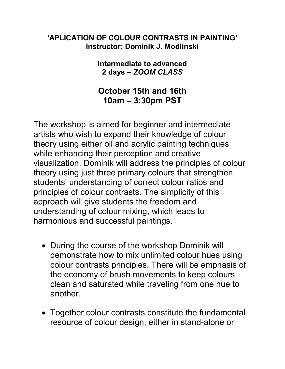## 'APLICATION OF COLOUR CONTRASTS IN PAINTING' Instructor: Dominik J. Modlinski

## Intermediate to advanced 2 days – ZOOM CLASS

## October 15th and 16th 10am – 3:30pm PST

The workshop is aimed for beginner and intermediate artists who wish to expand their knowledge of colour theory using either oil and acrylic painting techniques while enhancing their perception and creative visualization. Dominik will address the principles of colour theory using just three primary colours that strengthen students' understanding of correct colour ratios and principles of colour contrasts. The simplicity of this approach will give students the freedom and understanding of colour mixing, which leads to harmonious and successful paintings.

- During the course of the workshop Dominik will demonstrate how to mix unlimited colour hues using colour contrasts principles. There will be emphasis of the economy of brush movements to keep colours clean and saturated while traveling from one hue to another.
- Together colour contrasts constitute the fundamental resource of colour design, either in stand-alone or